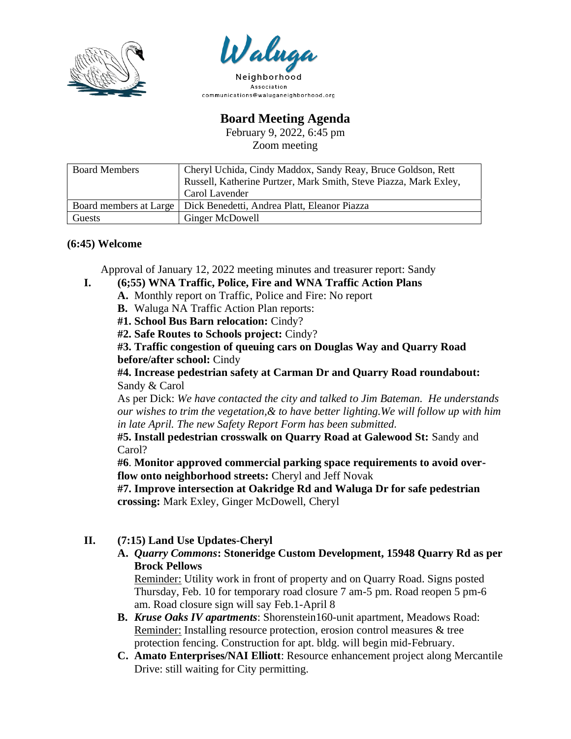



Association communications@waluganeighborhood.org

**Board Meeting Agenda**

February 9, 2022, 6:45 pm Zoom meeting

| <b>Board Members</b> | Cheryl Uchida, Cindy Maddox, Sandy Reay, Bruce Goldson, Rett<br>Russell, Katherine Purtzer, Mark Smith, Steve Piazza, Mark Exley, |
|----------------------|-----------------------------------------------------------------------------------------------------------------------------------|
|                      | Carol Lavender                                                                                                                    |
|                      | Board members at Large   Dick Benedetti, Andrea Platt, Eleanor Piazza                                                             |
| Guests               | Ginger McDowell                                                                                                                   |

## **(6:45) Welcome**

Approval of January 12, 2022 meeting minutes and treasurer report: Sandy

- **I. (6;55) WNA Traffic, Police, Fire and WNA Traffic Action Plans**
	- **A.** Monthly report on Traffic, Police and Fire: No report
	- **B.** Waluga NA Traffic Action Plan reports:
	- **#1. School Bus Barn relocation:** Cindy?
	- **#2. Safe Routes to Schools project:** Cindy?

**#3. Traffic congestion of queuing cars on Douglas Way and Quarry Road before/after school:** Cindy

**#4. Increase pedestrian safety at Carman Dr and Quarry Road roundabout:**  Sandy & Carol

As per Dick: *We have contacted the city and talked to Jim Bateman. He understands our wishes to trim the vegetation,& to have better lighting.We will follow up with him in late April. The new Safety Report Form has been submitted.*

**#5. Install pedestrian crosswalk on Quarry Road at Galewood St:** Sandy and Carol?

**#6**. **Monitor approved commercial parking space requirements to avoid overflow onto neighborhood streets:** Cheryl and Jeff Novak

**#7. Improve intersection at Oakridge Rd and Waluga Dr for safe pedestrian crossing:** Mark Exley, Ginger McDowell, Cheryl

- **II. (7:15) Land Use Updates-Cheryl**
	- **A.** *Quarry Commons***: Stoneridge Custom Development, 15948 Quarry Rd as per Brock Pellows**

Reminder: Utility work in front of property and on Quarry Road. Signs posted Thursday, Feb. 10 for temporary road closure 7 am-5 pm. Road reopen 5 pm-6 am. Road closure sign will say Feb.1-April 8

- **B.** *Kruse Oaks IV apartments*: Shorenstein160-unit apartment, Meadows Road: Reminder: Installing resource protection, erosion control measures & tree protection fencing. Construction for apt. bldg. will begin mid-February.
- **C. Amato Enterprises/NAI Elliott**: Resource enhancement project along Mercantile Drive: still waiting for City permitting.